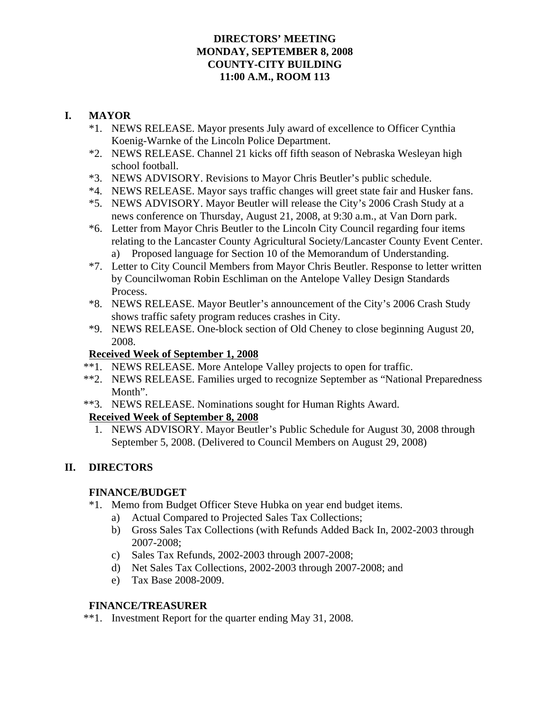### **DIRECTORS' MEETING MONDAY, SEPTEMBER 8, 2008 COUNTY-CITY BUILDING 11:00 A.M., ROOM 113**

### **I. MAYOR**

- \*1. NEWS RELEASE. Mayor presents July award of excellence to Officer Cynthia Koenig-Warnke of the Lincoln Police Department.
- \*2. NEWS RELEASE. Channel 21 kicks off fifth season of Nebraska Wesleyan high school football.
- \*3. NEWS ADVISORY. Revisions to Mayor Chris Beutler's public schedule.
- \*4. NEWS RELEASE. Mayor says traffic changes will greet state fair and Husker fans.
- \*5. NEWS ADVISORY. Mayor Beutler will release the City's 2006 Crash Study at a news conference on Thursday, August 21, 2008, at 9:30 a.m., at Van Dorn park.
- \*6. Letter from Mayor Chris Beutler to the Lincoln City Council regarding four items relating to the Lancaster County Agricultural Society/Lancaster County Event Center. a) Proposed language for Section 10 of the Memorandum of Understanding.
- \*7. Letter to City Council Members from Mayor Chris Beutler. Response to letter written by Councilwoman Robin Eschliman on the Antelope Valley Design Standards Process.
- \*8. NEWS RELEASE. Mayor Beutler's announcement of the City's 2006 Crash Study shows traffic safety program reduces crashes in City.
- \*9. NEWS RELEASE. One-block section of Old Cheney to close beginning August 20, 2008.

### **Received Week of September 1, 2008**

- \*\*1. NEWS RELEASE. More Antelope Valley projects to open for traffic.
- \*\*2. NEWS RELEASE. Families urged to recognize September as "National Preparedness Month".
- \*\*3. NEWS RELEASE. Nominations sought for Human Rights Award.

## **Received Week of September 8, 2008**

 1. NEWS ADVISORY. Mayor Beutler's Public Schedule for August 30, 2008 through September 5, 2008. (Delivered to Council Members on August 29, 2008)

## **II. DIRECTORS**

#### **FINANCE/BUDGET**

- \*1. Memo from Budget Officer Steve Hubka on year end budget items.
	- a) Actual Compared to Projected Sales Tax Collections;
	- b) Gross Sales Tax Collections (with Refunds Added Back In, 2002-2003 through 2007-2008;
	- c) Sales Tax Refunds, 2002-2003 through 2007-2008;
	- d) Net Sales Tax Collections, 2002-2003 through 2007-2008; and
	- e) Tax Base 2008-2009.

#### **FINANCE/TREASURER**

\*\*1. Investment Report for the quarter ending May 31, 2008.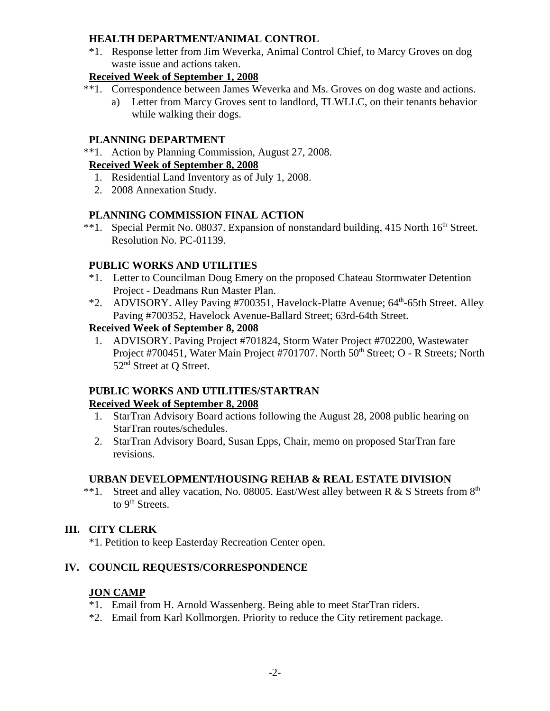#### **HEALTH DEPARTMENT/ANIMAL CONTROL**

\*1. Response letter from Jim Weverka, Animal Control Chief, to Marcy Groves on dog waste issue and actions taken.

## **Received Week of September 1, 2008**

- \*\*1. Correspondence between James Weverka and Ms. Groves on dog waste and actions.
	- a) Letter from Marcy Groves sent to landlord, TLWLLC, on their tenants behavior while walking their dogs.

## **PLANNING DEPARTMENT**

\*\*1. Action by Planning Commission, August 27, 2008.

## **Received Week of September 8, 2008**

- 1. Residential Land Inventory as of July 1, 2008.
- 2. 2008 Annexation Study.

# **PLANNING COMMISSION FINAL ACTION**

\*\*1. Special Permit No. 08037. Expansion of nonstandard building, 415 North 16<sup>th</sup> Street. Resolution No. PC-01139.

# **PUBLIC WORKS AND UTILITIES**

- \*1. Letter to Councilman Doug Emery on the proposed Chateau Stormwater Detention Project - Deadmans Run Master Plan.
- \*2. ADVISORY. Alley Paving #700351, Havelock-Platte Avenue; 64<sup>th</sup>-65th Street. Alley Paving #700352, Havelock Avenue-Ballard Street; 63rd-64th Street.

# **Received Week of September 8, 2008**

 1. ADVISORY. Paving Project #701824, Storm Water Project #702200, Wastewater Project #700451, Water Main Project #701707. North 50<sup>th</sup> Street; O - R Streets; North 52<sup>nd</sup> Street at O Street.

# **PUBLIC WORKS AND UTILITIES/STARTRAN**

# **Received Week of September 8, 2008**

- 1. StarTran Advisory Board actions following the August 28, 2008 public hearing on StarTran routes/schedules.
- 2. StarTran Advisory Board, Susan Epps, Chair, memo on proposed StarTran fare revisions.

# **URBAN DEVELOPMENT/HOUSING REHAB & REAL ESTATE DIVISION**

\*\*1. Street and alley vacation, No. 08005. East/West alley between R & S Streets from  $8<sup>th</sup>$ to 9<sup>th</sup> Streets.

# **III. CITY CLERK**

\*1. Petition to keep Easterday Recreation Center open.

# **IV. COUNCIL REQUESTS/CORRESPONDENCE**

# **JON CAMP**

- \*1. Email from H. Arnold Wassenberg. Being able to meet StarTran riders.
- \*2. Email from Karl Kollmorgen. Priority to reduce the City retirement package.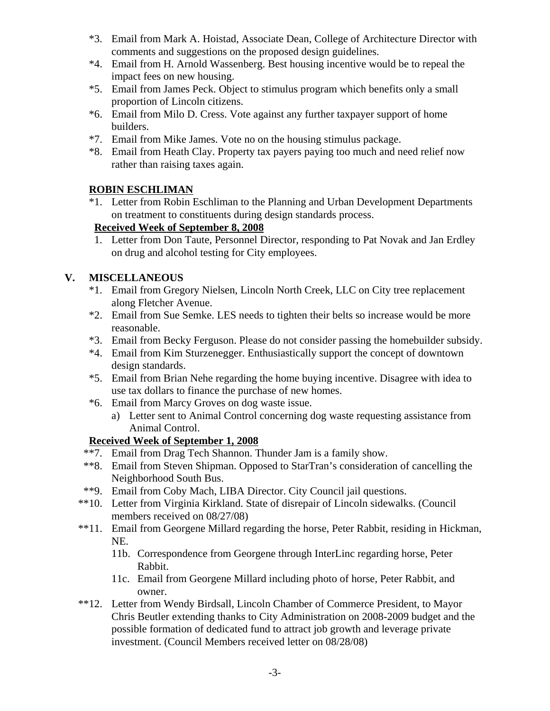- \*3. Email from Mark A. Hoistad, Associate Dean, College of Architecture Director with comments and suggestions on the proposed design guidelines.
- \*4. Email from H. Arnold Wassenberg. Best housing incentive would be to repeal the impact fees on new housing.
- \*5. Email from James Peck. Object to stimulus program which benefits only a small proportion of Lincoln citizens.
- \*6. Email from Milo D. Cress. Vote against any further taxpayer support of home builders.
- \*7. Email from Mike James. Vote no on the housing stimulus package.
- \*8. Email from Heath Clay. Property tax payers paying too much and need relief now rather than raising taxes again.

### **ROBIN ESCHLIMAN**

\*1. Letter from Robin Eschliman to the Planning and Urban Development Departments on treatment to constituents during design standards process.

### **Received Week of September 8, 2008**

 1. Letter from Don Taute, Personnel Director, responding to Pat Novak and Jan Erdley on drug and alcohol testing for City employees.

## **V. MISCELLANEOUS**

- \*1. Email from Gregory Nielsen, Lincoln North Creek, LLC on City tree replacement along Fletcher Avenue.
- \*2. Email from Sue Semke. LES needs to tighten their belts so increase would be more reasonable.
- \*3. Email from Becky Ferguson. Please do not consider passing the homebuilder subsidy.
- \*4. Email from Kim Sturzenegger. Enthusiastically support the concept of downtown design standards.
- \*5. Email from Brian Nehe regarding the home buying incentive. Disagree with idea to use tax dollars to finance the purchase of new homes.
- \*6. Email from Marcy Groves on dog waste issue.
	- a) Letter sent to Animal Control concerning dog waste requesting assistance from Animal Control.

## **Received Week of September 1, 2008**

- \*\*7. Email from Drag Tech Shannon. Thunder Jam is a family show.
- \*\*8. Email from Steven Shipman. Opposed to StarTran's consideration of cancelling the Neighborhood South Bus.
- \*\*9. Email from Coby Mach, LIBA Director. City Council jail questions.
- \*\*10. Letter from Virginia Kirkland. State of disrepair of Lincoln sidewalks. (Council members received on 08/27/08)
- \*\*11. Email from Georgene Millard regarding the horse, Peter Rabbit, residing in Hickman, NE.
	- 11b. Correspondence from Georgene through InterLinc regarding horse, Peter Rabbit.
	- 11c. Email from Georgene Millard including photo of horse, Peter Rabbit, and owner.
- \*\*12. Letter from Wendy Birdsall, Lincoln Chamber of Commerce President, to Mayor Chris Beutler extending thanks to City Administration on 2008-2009 budget and the possible formation of dedicated fund to attract job growth and leverage private investment. (Council Members received letter on 08/28/08)